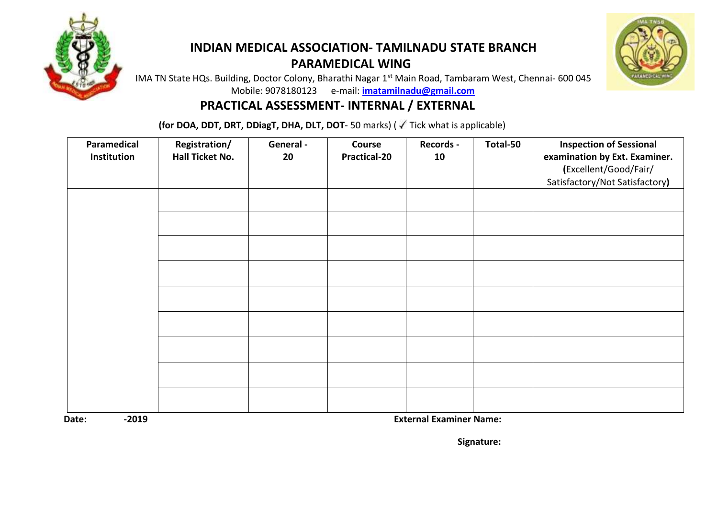

### **INDIAN MEDICAL ASSOCIATION- TAMILNADU STATE BRANCH PARAMEDICAL WING**



IMA TN State HQs. Building, Doctor Colony, Bharathi Nagar 1<sup>st</sup> Main Road, Tambaram West, Chennai- 600 045 Mobile: 9078180123 e-mail: **[imatamilnadu@gmail.com](mailto:imatamilnadu@gmail.com)**

#### **PRACTICAL ASSESSMENT- INTERNAL / EXTERNAL**

**(for DOA, DDT, DRT, DDiagT, DHA, DLT, DOT**-50 marks) (  $\sqrt{ }$  Tick what is applicable)

| Paramedical<br>Institution | Registration/<br>Hall Ticket No. | General -<br>20 | Course<br><b>Practical-20</b> | Records -<br>10 | Total-50 | <b>Inspection of Sessional</b><br>examination by Ext. Examiner.<br>(Excellent/Good/Fair/<br>Satisfactory/Not Satisfactory) |
|----------------------------|----------------------------------|-----------------|-------------------------------|-----------------|----------|----------------------------------------------------------------------------------------------------------------------------|
|                            |                                  |                 |                               |                 |          |                                                                                                                            |
|                            |                                  |                 |                               |                 |          |                                                                                                                            |
|                            |                                  |                 |                               |                 |          |                                                                                                                            |
|                            |                                  |                 |                               |                 |          |                                                                                                                            |
|                            |                                  |                 |                               |                 |          |                                                                                                                            |
|                            |                                  |                 |                               |                 |          |                                                                                                                            |
|                            |                                  |                 |                               |                 |          |                                                                                                                            |
|                            |                                  |                 |                               |                 |          |                                                                                                                            |
|                            |                                  |                 |                               |                 |          |                                                                                                                            |

**Date: -2019 External Examiner Name:**

 **Signature:**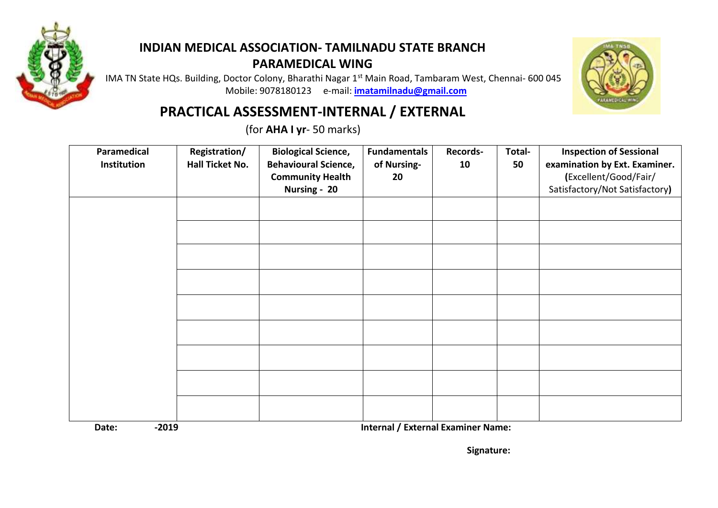

## **INDIAN MEDICAL ASSOCIATION- TAMILNADU STATE BRANCH PARAMEDICAL WING**

IMA TN State HQs. Building, Doctor Colony, Bharathi Nagar 1<sup>st</sup> Main Road, Tambaram West, Chennai- 600 045 Mobile: 9078180123 e-mail: **[imatamilnadu@gmail.com](mailto:imatamilnadu@gmail.com)**



# **PRACTICAL ASSESSMENT-INTERNAL / EXTERNAL**

(for **AHA I yr**- 50 marks)

| Paramedical<br>Institution | Registration/<br>Hall Ticket No. | <b>Biological Science,</b><br><b>Behavioural Science,</b><br><b>Community Health</b><br>Nursing - 20 | <b>Fundamentals</b><br>of Nursing-<br>20 | Records-<br>10 | Total-<br>50 | <b>Inspection of Sessional</b><br>examination by Ext. Examiner.<br>(Excellent/Good/Fair/<br>Satisfactory/Not Satisfactory) |
|----------------------------|----------------------------------|------------------------------------------------------------------------------------------------------|------------------------------------------|----------------|--------------|----------------------------------------------------------------------------------------------------------------------------|
|                            |                                  |                                                                                                      |                                          |                |              |                                                                                                                            |
|                            |                                  |                                                                                                      |                                          |                |              |                                                                                                                            |
|                            |                                  |                                                                                                      |                                          |                |              |                                                                                                                            |
|                            |                                  |                                                                                                      |                                          |                |              |                                                                                                                            |
|                            |                                  |                                                                                                      |                                          |                |              |                                                                                                                            |
|                            |                                  |                                                                                                      |                                          |                |              |                                                                                                                            |
|                            |                                  |                                                                                                      |                                          |                |              |                                                                                                                            |

**Date:**  $\qquad 2019$  **Date:**  $\qquad 2019$  **Internal / External Examiner Name:**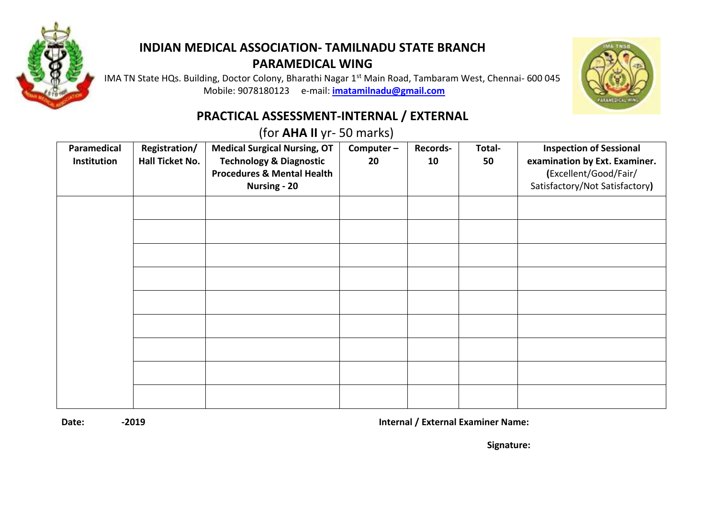

## **INDIAN MEDICAL ASSOCIATION- TAMILNADU STATE BRANCH PARAMEDICAL WING**

IMA TN State HQs. Building, Doctor Colony, Bharathi Nagar 1<sup>st</sup> Main Road, Tambaram West, Chennai- 600 045 Mobile: 9078180123 e-mail: **[imatamilnadu@gmail.com](mailto:imatamilnadu@gmail.com)**



### **PRACTICAL ASSESSMENT-INTERNAL / EXTERNAL**

(for **AHA II** yr- 50 marks)

| Paramedical<br>Institution | Registration/<br>Hall Ticket No. | <b>Medical Surgical Nursing, OT</b><br><b>Technology &amp; Diagnostic</b><br><b>Procedures &amp; Mental Health</b><br><b>Nursing - 20</b> | Computer-<br>20 | <b>Records-</b><br>10 | Total-<br>50 | <b>Inspection of Sessional</b><br>examination by Ext. Examiner.<br>(Excellent/Good/Fair/<br>Satisfactory/Not Satisfactory) |
|----------------------------|----------------------------------|-------------------------------------------------------------------------------------------------------------------------------------------|-----------------|-----------------------|--------------|----------------------------------------------------------------------------------------------------------------------------|
|                            |                                  |                                                                                                                                           |                 |                       |              |                                                                                                                            |
|                            |                                  |                                                                                                                                           |                 |                       |              |                                                                                                                            |
|                            |                                  |                                                                                                                                           |                 |                       |              |                                                                                                                            |
|                            |                                  |                                                                                                                                           |                 |                       |              |                                                                                                                            |
|                            |                                  |                                                                                                                                           |                 |                       |              |                                                                                                                            |
|                            |                                  |                                                                                                                                           |                 |                       |              |                                                                                                                            |
|                            |                                  |                                                                                                                                           |                 |                       |              |                                                                                                                            |
|                            |                                  |                                                                                                                                           |                 |                       |              |                                                                                                                            |
|                            |                                  |                                                                                                                                           |                 |                       |              |                                                                                                                            |

**Date: -2019 Internal / External Examiner Name:**

 **Signature:**